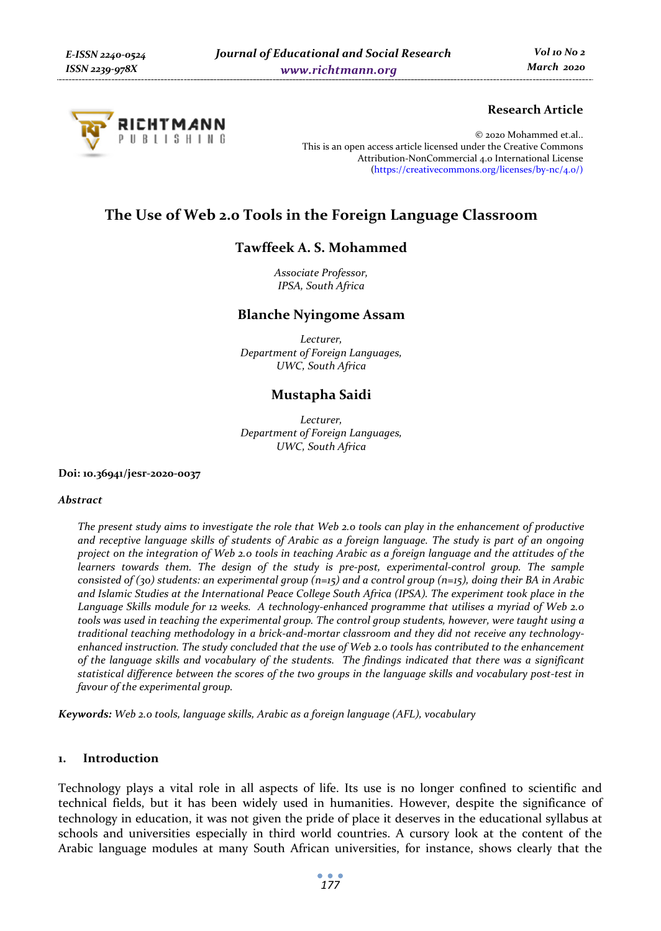

# **Research Article**

© 2020 Mohammed et.al.. This is an open access article licensed under the Creative Commons Attribution-NonCommercial 4.0 International License (https://creativecommons.org/licenses/by-nc/4.0/)

# **The Use of Web 2.0 Tools in the Foreign Language Classroom**

# **Tawffeek A. S. Mohammed**

*Associate Professor, IPSA, South Africa* 

## **Blanche Nyingome Assam**

*Lecturer, Department of Foreign Languages, UWC, South Africa* 

# **Mustapha Saidi**

*Lecturer, Department of Foreign Languages, UWC, South Africa* 

#### **Doi: 10.36941/jesr-2020-0037**

#### *Abstract*

*The present study aims to investigate the role that Web 2.0 tools can play in the enhancement of productive and receptive language skills of students of Arabic as a foreign language. The study is part of an ongoing project on the integration of Web 2.0 tools in teaching Arabic as a foreign language and the attitudes of the learners towards them. The design of the study is pre-post, experimental-control group. The sample consisted of (30) students: an experimental group (n=15) and a control group (n=15), doing their BA in Arabic and Islamic Studies at the International Peace College South Africa (IPSA). The experiment took place in the Language Skills module for 12 weeks. A technology-enhanced programme that utilises a myriad of Web 2.0 tools was used in teaching the experimental group. The control group students, however, were taught using a traditional teaching methodology in a brick-and-mortar classroom and they did not receive any technologyenhanced instruction. The study concluded that the use of Web 2.0 tools has contributed to the enhancement of the language skills and vocabulary of the students. The findings indicated that there was a significant statistical difference between the scores of the two groups in the language skills and vocabulary post-test in favour of the experimental group.* 

*Keywords: Web 2.0 tools, language skills, Arabic as a foreign language (AFL), vocabulary*

## **1. Introduction**

Technology plays a vital role in all aspects of life. Its use is no longer confined to scientific and technical fields, but it has been widely used in humanities. However, despite the significance of technology in education, it was not given the pride of place it deserves in the educational syllabus at schools and universities especially in third world countries. A cursory look at the content of the Arabic language modules at many South African universities, for instance, shows clearly that the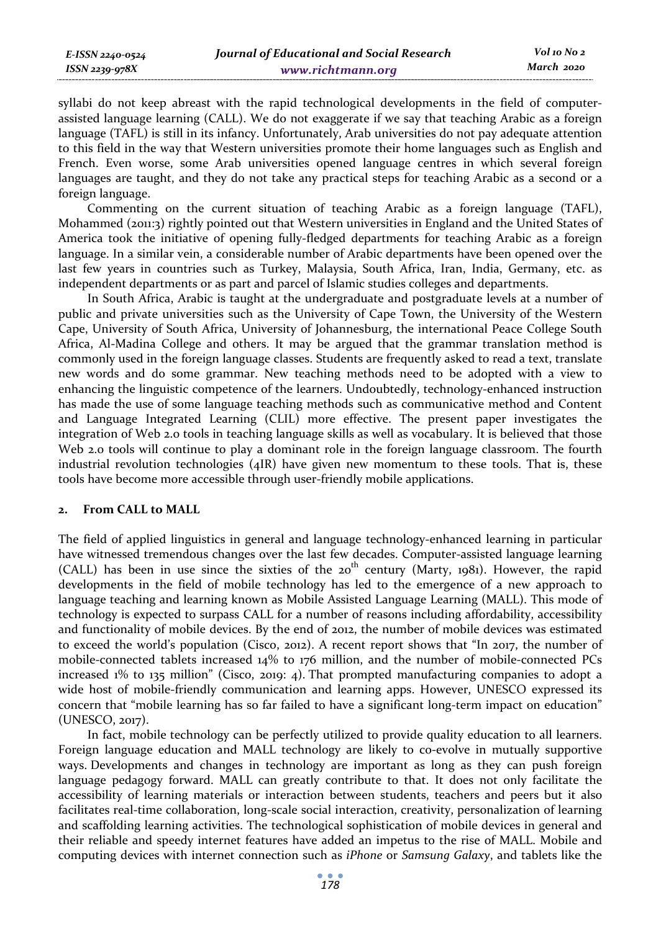syllabi do not keep abreast with the rapid technological developments in the field of computerassisted language learning (CALL). We do not exaggerate if we say that teaching Arabic as a foreign language (TAFL) is still in its infancy. Unfortunately, Arab universities do not pay adequate attention to this field in the way that Western universities promote their home languages such as English and French. Even worse, some Arab universities opened language centres in which several foreign languages are taught, and they do not take any practical steps for teaching Arabic as a second or a foreign language.

Commenting on the current situation of teaching Arabic as a foreign language (TAFL), Mohammed (2011:3) rightly pointed out that Western universities in England and the United States of America took the initiative of opening fully-fledged departments for teaching Arabic as a foreign language. In a similar vein, a considerable number of Arabic departments have been opened over the last few years in countries such as Turkey, Malaysia, South Africa, Iran, India, Germany, etc. as independent departments or as part and parcel of Islamic studies colleges and departments.

In South Africa, Arabic is taught at the undergraduate and postgraduate levels at a number of public and private universities such as the University of Cape Town, the University of the Western Cape, University of South Africa, University of Johannesburg, the international Peace College South Africa, Al-Madina College and others. It may be argued that the grammar translation method is commonly used in the foreign language classes. Students are frequently asked to read a text, translate new words and do some grammar. New teaching methods need to be adopted with a view to enhancing the linguistic competence of the learners. Undoubtedly, technology-enhanced instruction has made the use of some language teaching methods such as communicative method and Content and Language Integrated Learning (CLIL) more effective. The present paper investigates the integration of Web 2.0 tools in teaching language skills as well as vocabulary. It is believed that those Web 2.0 tools will continue to play a dominant role in the foreign language classroom. The fourth industrial revolution technologies (4IR) have given new momentum to these tools. That is, these tools have become more accessible through user-friendly mobile applications.

#### **2. From CALL to MALL**

The field of applied linguistics in general and language technology-enhanced learning in particular have witnessed tremendous changes over the last few decades. Computer-assisted language learning (CALL) has been in use since the sixties of the  $20^{th}$  century (Marty, 1981). However, the rapid developments in the field of mobile technology has led to the emergence of a new approach to language teaching and learning known as Mobile Assisted Language Learning (MALL). This mode of technology is expected to surpass CALL for a number of reasons including affordability, accessibility and functionality of mobile devices. By the end of 2012, the number of mobile devices was estimated to exceed the world's population (Cisco, 2012). A recent report shows that "In 2017, the number of mobile-connected tablets increased 14% to 176 million, and the number of mobile-connected PCs increased 1% to 135 million" (Cisco, 2019: 4). That prompted manufacturing companies to adopt a wide host of mobile-friendly communication and learning apps. However, UNESCO expressed its concern that "mobile learning has so far failed to have a significant long-term impact on education" (UNESCO, 2017).

In fact, mobile technology can be perfectly utilized to provide quality education to all learners. Foreign language education and MALL technology are likely to co-evolve in mutually supportive ways. Developments and changes in technology are important as long as they can push foreign language pedagogy forward. MALL can greatly contribute to that. It does not only facilitate the accessibility of learning materials or interaction between students, teachers and peers but it also facilitates real-time collaboration, long-scale social interaction, creativity, personalization of learning and scaffolding learning activities. The technological sophistication of mobile devices in general and their reliable and speedy internet features have added an impetus to the rise of MALL. Mobile and computing devices with internet connection such as *iPhone* or *Samsung Galaxy*, and tablets like the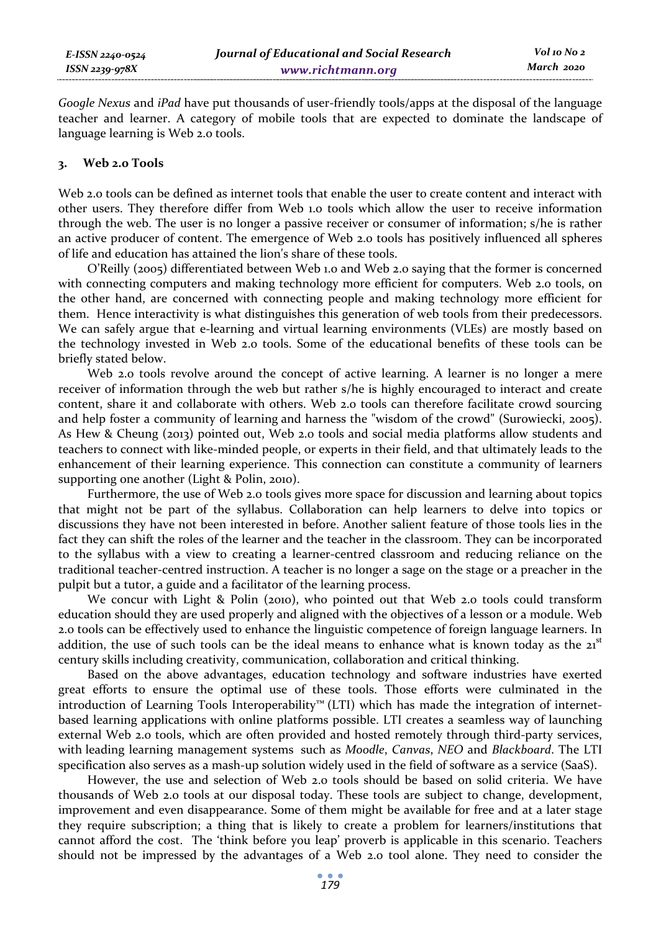*Google Nexus* and *iPad* have put thousands of user-friendly tools/apps at the disposal of the language teacher and learner. A category of mobile tools that are expected to dominate the landscape of language learning is Web 2.0 tools.

## **3. Web 2.0 Tools**

Web 2.0 tools can be defined as internet tools that enable the user to create content and interact with other users. They therefore differ from Web 1.0 tools which allow the user to receive information through the web. The user is no longer a passive receiver or consumer of information; s/he is rather an active producer of content. The emergence of Web 2.0 tools has positively influenced all spheres of life and education has attained the lion's share of these tools.

O'Reilly (2005) differentiated between Web 1.0 and Web 2.0 saying that the former is concerned with connecting computers and making technology more efficient for computers. Web 2.0 tools, on the other hand, are concerned with connecting people and making technology more efficient for them. Hence interactivity is what distinguishes this generation of web tools from their predecessors. We can safely argue that e-learning and virtual learning environments (VLEs) are mostly based on the technology invested in Web 2.0 tools. Some of the educational benefits of these tools can be briefly stated below.

Web 2.0 tools revolve around the concept of active learning. A learner is no longer a mere receiver of information through the web but rather s/he is highly encouraged to interact and create content, share it and collaborate with others. Web 2.0 tools can therefore facilitate crowd sourcing and help foster a community of learning and harness the "wisdom of the crowd" (Surowiecki, 2005). As Hew & Cheung (2013) pointed out, Web 2.0 tools and social media platforms allow students and teachers to connect with like-minded people, or experts in their field, and that ultimately leads to the enhancement of their learning experience. This connection can constitute a community of learners supporting one another (Light & Polin, 2010).

Furthermore, the use of Web 2.0 tools gives more space for discussion and learning about topics that might not be part of the syllabus. Collaboration can help learners to delve into topics or discussions they have not been interested in before. Another salient feature of those tools lies in the fact they can shift the roles of the learner and the teacher in the classroom. They can be incorporated to the syllabus with a view to creating a learner-centred classroom and reducing reliance on the traditional teacher-centred instruction. A teacher is no longer a sage on the stage or a preacher in the pulpit but a tutor, a guide and a facilitator of the learning process.

We concur with Light & Polin (2010), who pointed out that Web 2.0 tools could transform education should they are used properly and aligned with the objectives of a lesson or a module. Web 2.0 tools can be effectively used to enhance the linguistic competence of foreign language learners. In addition, the use of such tools can be the ideal means to enhance what is known today as the  $21<sup>st</sup>$ century skills including creativity, communication, collaboration and critical thinking.

Based on the above advantages, education technology and software industries have exerted great efforts to ensure the optimal use of these tools. Those efforts were culminated in the introduction of Learning Tools Interoperability™ (LTI) which has made the integration of internetbased learning applications with online platforms possible. LTI creates a seamless way of launching external Web 2.0 tools, which are often provided and hosted remotely through third-party services, with leading learning management systems such as *Moodle*, *Canvas*, *NEO* and *Blackboard*. The LTI specification also serves as a mash-up solution widely used in the field of software as a service (SaaS).

However, the use and selection of Web 2.0 tools should be based on solid criteria. We have thousands of Web 2.0 tools at our disposal today. These tools are subject to change, development, improvement and even disappearance. Some of them might be available for free and at a later stage they require subscription; a thing that is likely to create a problem for learners/institutions that cannot afford the cost. The 'think before you leap' proverb is applicable in this scenario. Teachers should not be impressed by the advantages of a Web 2.0 tool alone. They need to consider the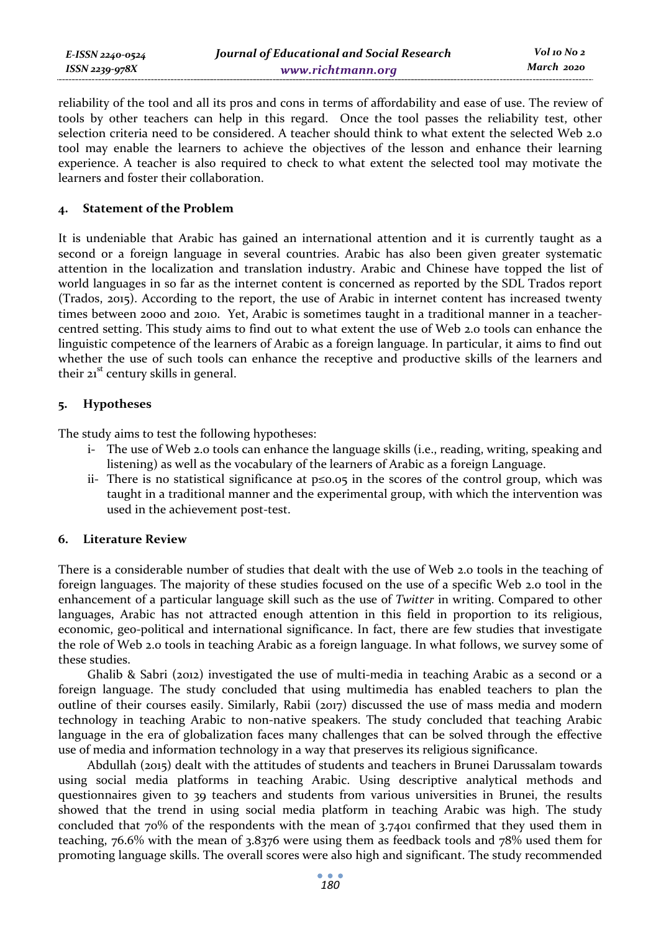reliability of the tool and all its pros and cons in terms of affordability and ease of use. The review of tools by other teachers can help in this regard. Once the tool passes the reliability test, other selection criteria need to be considered. A teacher should think to what extent the selected Web 2.0 tool may enable the learners to achieve the objectives of the lesson and enhance their learning experience. A teacher is also required to check to what extent the selected tool may motivate the learners and foster their collaboration.

## **4. Statement of the Problem**

It is undeniable that Arabic has gained an international attention and it is currently taught as a second or a foreign language in several countries. Arabic has also been given greater systematic attention in the localization and translation industry. Arabic and Chinese have topped the list of world languages in so far as the internet content is concerned as reported by the SDL Trados report (Trados, 2015). According to the report, the use of Arabic in internet content has increased twenty times between 2000 and 2010. Yet, Arabic is sometimes taught in a traditional manner in a teachercentred setting. This study aims to find out to what extent the use of Web 2.0 tools can enhance the linguistic competence of the learners of Arabic as a foreign language. In particular, it aims to find out whether the use of such tools can enhance the receptive and productive skills of the learners and their  $21<sup>st</sup>$  century skills in general.

## **5. Hypotheses**

The study aims to test the following hypotheses:

- i- The use of Web 2.0 tools can enhance the language skills (i.e., reading, writing, speaking and listening) as well as the vocabulary of the learners of Arabic as a foreign Language.
- ii- There is no statistical significance at p≤0.05 in the scores of the control group, which was taught in a traditional manner and the experimental group, with which the intervention was used in the achievement post-test.

#### **6. Literature Review**

There is a considerable number of studies that dealt with the use of Web 2.0 tools in the teaching of foreign languages. The majority of these studies focused on the use of a specific Web 2.0 tool in the enhancement of a particular language skill such as the use of *Twitter* in writing. Compared to other languages, Arabic has not attracted enough attention in this field in proportion to its religious, economic, geo-political and international significance. In fact, there are few studies that investigate the role of Web 2.0 tools in teaching Arabic as a foreign language. In what follows, we survey some of these studies.

Ghalib & Sabri (2012) investigated the use of multi-media in teaching Arabic as a second or a foreign language. The study concluded that using multimedia has enabled teachers to plan the outline of their courses easily. Similarly, Rabii (2017) discussed the use of mass media and modern technology in teaching Arabic to non-native speakers. The study concluded that teaching Arabic language in the era of globalization faces many challenges that can be solved through the effective use of media and information technology in a way that preserves its religious significance.

Abdullah (2015) dealt with the attitudes of students and teachers in Brunei Darussalam towards using social media platforms in teaching Arabic. Using descriptive analytical methods and questionnaires given to 39 teachers and students from various universities in Brunei, the results showed that the trend in using social media platform in teaching Arabic was high. The study concluded that 70% of the respondents with the mean of 3.7401 confirmed that they used them in teaching, 76.6% with the mean of 3.8376 were using them as feedback tools and 78% used them for promoting language skills. The overall scores were also high and significant. The study recommended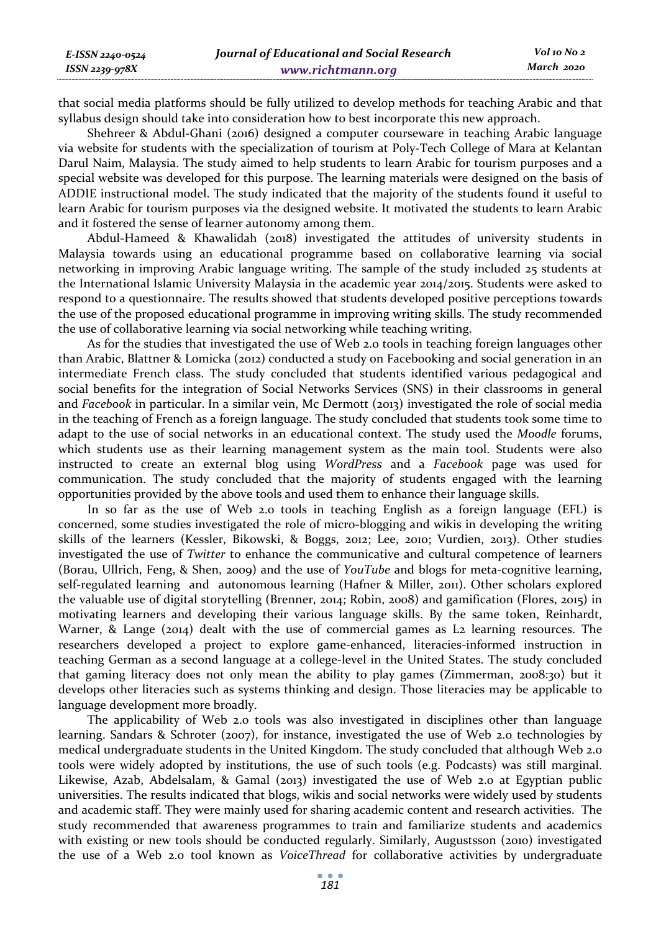that social media platforms should be fully utilized to develop methods for teaching Arabic and that syllabus design should take into consideration how to best incorporate this new approach.

Shehreer & Abdul-Ghani (2016) designed a computer courseware in teaching Arabic language via website for students with the specialization of tourism at Poly-Tech College of Mara at Kelantan Darul Naim, Malaysia. The study aimed to help students to learn Arabic for tourism purposes and a special website was developed for this purpose. The learning materials were designed on the basis of ADDIE instructional model. The study indicated that the majority of the students found it useful to learn Arabic for tourism purposes via the designed website. It motivated the students to learn Arabic and it fostered the sense of learner autonomy among them.

Abdul-Hameed & Khawalidah (2018) investigated the attitudes of university students in Malaysia towards using an educational programme based on collaborative learning via social networking in improving Arabic language writing. The sample of the study included 25 students at the International Islamic University Malaysia in the academic year 2014/2015. Students were asked to respond to a questionnaire. The results showed that students developed positive perceptions towards the use of the proposed educational programme in improving writing skills. The study recommended the use of collaborative learning via social networking while teaching writing.

As for the studies that investigated the use of Web 2.0 tools in teaching foreign languages other than Arabic, Blattner & Lomicka (2012) conducted a study on Facebooking and social generation in an intermediate French class. The study concluded that students identified various pedagogical and social benefits for the integration of Social Networks Services (SNS) in their classrooms in general and *Facebook* in particular. In a similar vein, Mc Dermott (2013) investigated the role of social media in the teaching of French as a foreign language. The study concluded that students took some time to adapt to the use of social networks in an educational context. The study used the *Moodle* forums, which students use as their learning management system as the main tool. Students were also instructed to create an external blog using *WordPress* and a *Facebook* page was used for communication. The study concluded that the majority of students engaged with the learning opportunities provided by the above tools and used them to enhance their language skills.

In so far as the use of Web 2.0 tools in teaching English as a foreign language (EFL) is concerned, some studies investigated the role of micro-blogging and wikis in developing the writing skills of the learners (Kessler, Bikowski, & Boggs, 2012; Lee, 2010; Vurdien, 2013). Other studies investigated the use of *Twitter* to enhance the communicative and cultural competence of learners (Borau, Ullrich, Feng, & Shen, 2009) and the use of *YouTube* and blogs for meta-cognitive learning, self-regulated learning and autonomous learning (Hafner & Miller, 2011). Other scholars explored the valuable use of digital storytelling (Brenner, 2014; Robin, 2008) and gamification (Flores, 2015) in motivating learners and developing their various language skills. By the same token, Reinhardt, Warner, & Lange (2014) dealt with the use of commercial games as L2 learning resources. The researchers developed a project to explore game-enhanced, literacies-informed instruction in teaching German as a second language at a college-level in the United States. The study concluded that gaming literacy does not only mean the ability to play games (Zimmerman, 2008:30) but it develops other literacies such as systems thinking and design. Those literacies may be applicable to language development more broadly.

The applicability of Web 2.0 tools was also investigated in disciplines other than language learning. Sandars & Schroter (2007), for instance, investigated the use of Web 2.0 technologies by medical undergraduate students in the United Kingdom. The study concluded that although Web 2.0 tools were widely adopted by institutions, the use of such tools (e.g. Podcasts) was still marginal. Likewise, Azab, Abdelsalam, & Gamal (2013) investigated the use of Web 2.0 at Egyptian public universities. The results indicated that blogs, wikis and social networks were widely used by students and academic staff. They were mainly used for sharing academic content and research activities. The study recommended that awareness programmes to train and familiarize students and academics with existing or new tools should be conducted regularly. Similarly, Augustsson (2010) investigated the use of a Web 2.0 tool known as *VoiceThread* for collaborative activities by undergraduate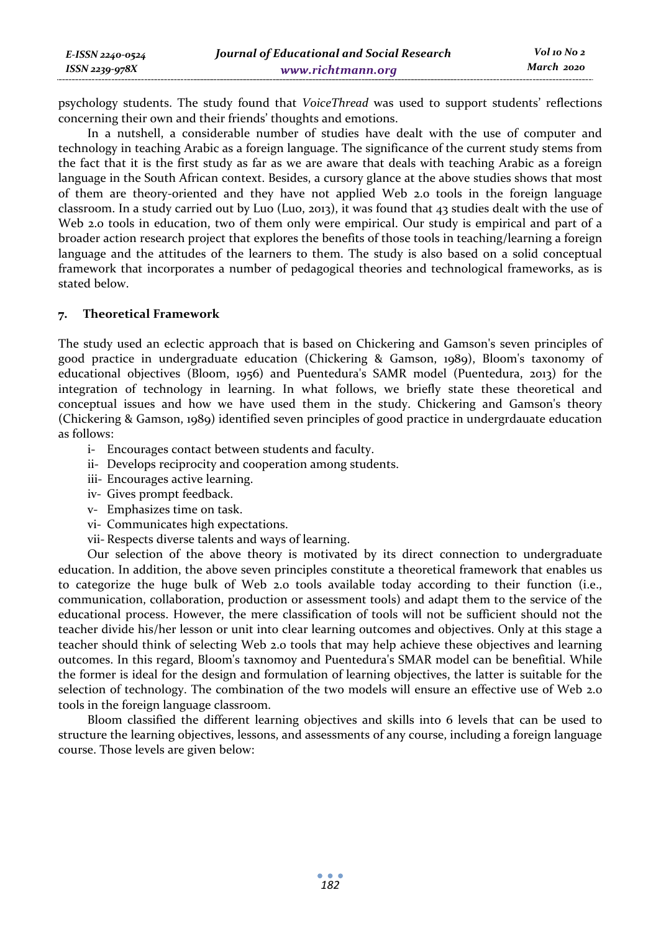| E-ISSN 2240-0524 | Journal of Educational and Social Research | Vol 10 No 2 |
|------------------|--------------------------------------------|-------------|
| ISSN 2239-978X   | www.richtmann.org                          | March 2020  |

psychology students. The study found that *VoiceThread* was used to support students' reflections concerning their own and their friends' thoughts and emotions.

In a nutshell, a considerable number of studies have dealt with the use of computer and technology in teaching Arabic as a foreign language. The significance of the current study stems from the fact that it is the first study as far as we are aware that deals with teaching Arabic as a foreign language in the South African context. Besides, a cursory glance at the above studies shows that most of them are theory-oriented and they have not applied Web 2.0 tools in the foreign language classroom. In a study carried out by Luo (Luo, 2013), it was found that 43 studies dealt with the use of Web 2.0 tools in education, two of them only were empirical. Our study is empirical and part of a broader action research project that explores the benefits of those tools in teaching/learning a foreign language and the attitudes of the learners to them. The study is also based on a solid conceptual framework that incorporates a number of pedagogical theories and technological frameworks, as is stated below.

## **7. Theoretical Framework**

The study used an eclectic approach that is based on Chickering and Gamson's seven principles of good practice in undergraduate education (Chickering & Gamson, 1989), Bloom's taxonomy of educational objectives (Bloom, 1956) and Puentedura's SAMR model (Puentedura, 2013) for the integration of technology in learning. In what follows, we briefly state these theoretical and conceptual issues and how we have used them in the study. Chickering and Gamson's theory (Chickering & Gamson, 1989) identified seven principles of good practice in undergrdauate education as follows:

- i- Encourages contact between students and faculty.
- ii- Develops reciprocity and cooperation among students.
- iii- Encourages active learning.
- iv- Gives prompt feedback.
- v- Emphasizes time on task.
- vi- Communicates high expectations.
- vii- Respects diverse talents and ways of learning.

Our selection of the above theory is motivated by its direct connection to undergraduate education. In addition, the above seven principles constitute a theoretical framework that enables us to categorize the huge bulk of Web 2.0 tools available today according to their function (i.e., communication, collaboration, production or assessment tools) and adapt them to the service of the educational process. However, the mere classification of tools will not be sufficient should not the teacher divide his/her lesson or unit into clear learning outcomes and objectives. Only at this stage a teacher should think of selecting Web 2.0 tools that may help achieve these objectives and learning outcomes. In this regard, Bloom's taxnomoy and Puentedura's SMAR model can be benefitial. While the former is ideal for the design and formulation of learning objectives, the latter is suitable for the selection of technology. The combination of the two models will ensure an effective use of Web 2.0 tools in the foreign language classroom.

Bloom classified the different learning objectives and skills into 6 levels that can be used to structure the learning objectives, lessons, and assessments of any course, including a foreign language course. Those levels are given below: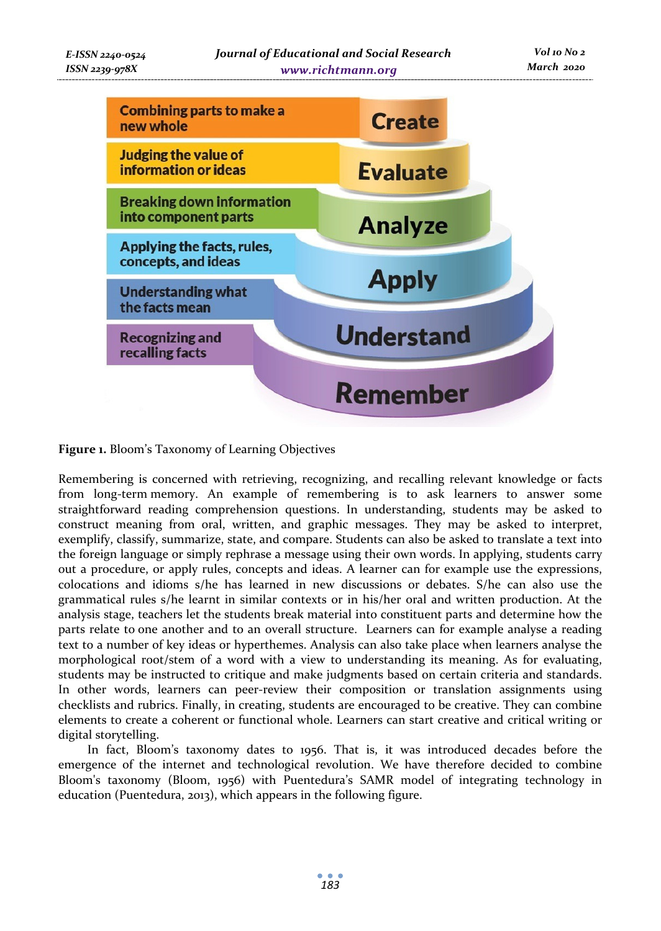

**Figure 1.** Bloom's Taxonomy of Learning Objectives

Remembering is concerned with retrieving, recognizing, and recalling relevant knowledge or facts from long-term memory. An example of remembering is to ask learners to answer some straightforward reading comprehension questions. In understanding, students may be asked to construct meaning from oral, written, and graphic messages. They may be asked to interpret, exemplify, classify, summarize, state, and compare. Students can also be asked to translate a text into the foreign language or simply rephrase a message using their own words. In applying, students carry out a procedure, or apply rules, concepts and ideas. A learner can for example use the expressions, colocations and idioms s/he has learned in new discussions or debates. S/he can also use the grammatical rules s/he learnt in similar contexts or in his/her oral and written production. At the analysis stage, teachers let the students break material into constituent parts and determine how the parts relate to one another and to an overall structure. Learners can for example analyse a reading text to a number of key ideas or hyperthemes. Analysis can also take place when learners analyse the morphological root/stem of a word with a view to understanding its meaning. As for evaluating, students may be instructed to critique and make judgments based on certain criteria and standards. In other words, learners can peer-review their composition or translation assignments using checklists and rubrics. Finally, in creating, students are encouraged to be creative. They can combine elements to create a coherent or functional whole. Learners can start creative and critical writing or digital storytelling.

In fact, Bloom's taxonomy dates to 1956. That is, it was introduced decades before the emergence of the internet and technological revolution. We have therefore decided to combine Bloom's taxonomy (Bloom, 1956) with Puentedura's SAMR model of integrating technology in education (Puentedura, 2013), which appears in the following figure.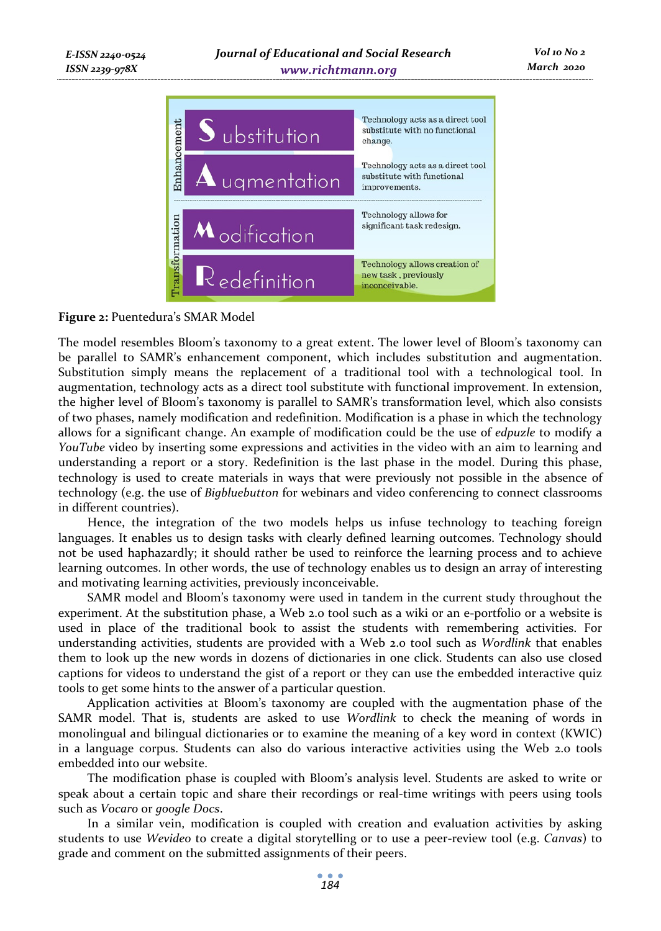

 *Vol 10 No 2*

# **Figure 2:** Puentedura's SMAR Model

*ISSN 2239-978X*

The model resembles Bloom's taxonomy to a great extent. The lower level of Bloom's taxonomy can be parallel to SAMR's enhancement component, which includes substitution and augmentation. Substitution simply means the replacement of a traditional tool with a technological tool. In augmentation, technology acts as a direct tool substitute with functional improvement. In extension, the higher level of Bloom's taxonomy is parallel to SAMR's transformation level, which also consists of two phases, namely modification and redefinition. Modification is a phase in which the technology allows for a significant change. An example of modification could be the use of *edpuzle* to modify a *YouTube* video by inserting some expressions and activities in the video with an aim to learning and understanding a report or a story. Redefinition is the last phase in the model. During this phase, technology is used to create materials in ways that were previously not possible in the absence of technology (e.g. the use of *Bigbluebutton* for webinars and video conferencing to connect classrooms in different countries).

Hence, the integration of the two models helps us infuse technology to teaching foreign languages. It enables us to design tasks with clearly defined learning outcomes. Technology should not be used haphazardly; it should rather be used to reinforce the learning process and to achieve learning outcomes. In other words, the use of technology enables us to design an array of interesting and motivating learning activities, previously inconceivable.

SAMR model and Bloom's taxonomy were used in tandem in the current study throughout the experiment. At the substitution phase, a Web 2.0 tool such as a wiki or an e-portfolio or a website is used in place of the traditional book to assist the students with remembering activities. For understanding activities, students are provided with a Web 2.0 tool such as *Wordlink* that enables them to look up the new words in dozens of dictionaries in one click. Students can also use closed captions for videos to understand the gist of a report or they can use the embedded interactive quiz tools to get some hints to the answer of a particular question.

Application activities at Bloom's taxonomy are coupled with the augmentation phase of the SAMR model. That is, students are asked to use *Wordlink* to check the meaning of words in monolingual and bilingual dictionaries or to examine the meaning of a key word in context (KWIC) in a language corpus. Students can also do various interactive activities using the Web 2.0 tools embedded into our website.

The modification phase is coupled with Bloom's analysis level. Students are asked to write or speak about a certain topic and share their recordings or real-time writings with peers using tools such as *Vocaro* or *google Docs*.

In a similar vein, modification is coupled with creation and evaluation activities by asking students to use *Wevideo* to create a digital storytelling or to use a peer-review tool (e.g. *Canvas*) to grade and comment on the submitted assignments of their peers.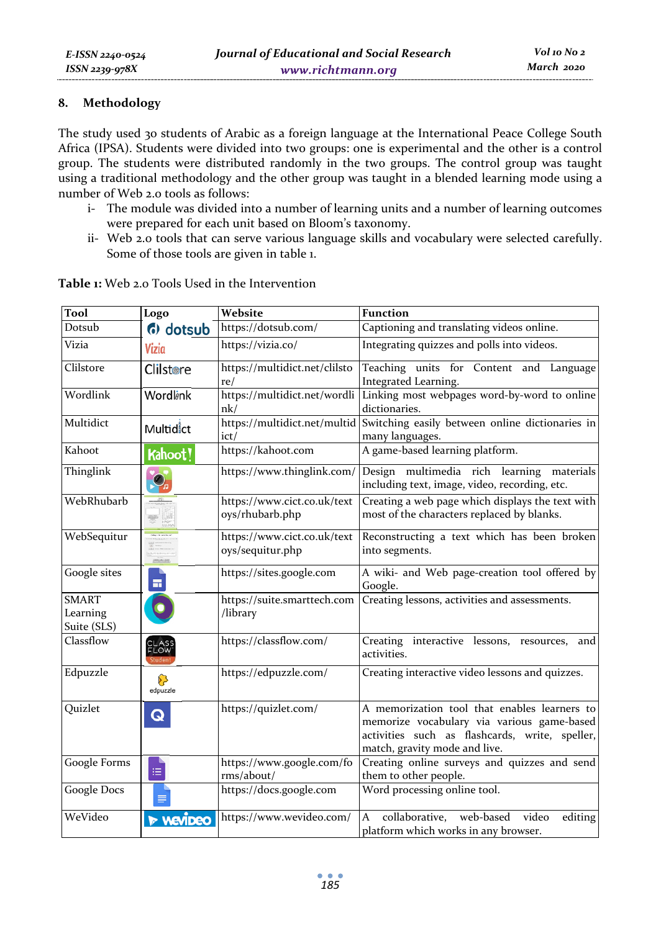# **8. Methodology**

The study used 30 students of Arabic as a foreign language at the International Peace College South Africa (IPSA). Students were divided into two groups: one is experimental and the other is a control group. The students were distributed randomly in the two groups. The control group was taught using a traditional methodology and the other group was taught in a blended learning mode using a number of Web 2.0 tools as follows:

- i- The module was divided into a number of learning units and a number of learning outcomes were prepared for each unit based on Bloom's taxonomy.
- ii- Web 2.0 tools that can serve various language skills and vocabulary were selected carefully. Some of those tools are given in table 1.

| Tool                                    | Logo                     | Website                                         | <b>Function</b>                                                                                                                                                               |  |  |  |
|-----------------------------------------|--------------------------|-------------------------------------------------|-------------------------------------------------------------------------------------------------------------------------------------------------------------------------------|--|--|--|
| Dotsub                                  | (b) dotsub               | https://dotsub.com/                             | Captioning and translating videos online.                                                                                                                                     |  |  |  |
| Vizia                                   | Vizia                    | https://vizia.co/                               | Integrating quizzes and polls into videos.                                                                                                                                    |  |  |  |
| Clilstore                               | <b>Clilstore</b>         | https://multidict.net/clilsto<br>re/            | Teaching units for Content and Language<br>Integrated Learning.                                                                                                               |  |  |  |
| Wordlink                                | Wordlink                 | https://multidict.net/wordli<br>nk/             | Linking most webpages word-by-word to online<br>dictionaries.                                                                                                                 |  |  |  |
| Multidict                               | Multidict                | ict/                                            | https://multidict.net/multid Switching easily between online dictionaries in<br>many languages.                                                                               |  |  |  |
| Kahoot                                  | Kahoot!                  | https://kahoot.com                              | A game-based learning platform.                                                                                                                                               |  |  |  |
| Thinglink                               | $\mathbf{Q}_{n}$         | https://www.thinglink.com/                      | Design multimedia rich learning materials<br>including text, image, video, recording, etc.                                                                                    |  |  |  |
| WebRhubarb                              |                          | https://www.cict.co.uk/text<br>oys/rhubarb.php  | Creating a web page which displays the text with<br>most of the characters replaced by blanks.                                                                                |  |  |  |
| WebSequitur                             |                          | https://www.cict.co.uk/text<br>oys/sequitur.php | Reconstructing a text which has been broken<br>into segments.                                                                                                                 |  |  |  |
| Google sites                            | m.                       | https://sites.google.com                        | A wiki- and Web page-creation tool offered by<br>Google.                                                                                                                      |  |  |  |
| <b>SMART</b><br>Learning<br>Suite (SLS) |                          | https://suite.smarttech.com<br>/library         | Creating lessons, activities and assessments.                                                                                                                                 |  |  |  |
| Classflow                               | CLASS<br>FLOW            | https://classflow.com/                          | Creating interactive lessons, resources, and<br>activities.                                                                                                                   |  |  |  |
| Edpuzzle                                | ନ<br>edpuzzle            | https://edpuzzle.com/                           | Creating interactive video lessons and quizzes.                                                                                                                               |  |  |  |
| Quizlet                                 | Q                        | https://quizlet.com/                            | A memorization tool that enables learners to<br>memorize vocabulary via various game-based<br>activities such as flashcards, write, speller,<br>match, gravity mode and live. |  |  |  |
| Google Forms                            | ≔                        | https://www.google.com/fo<br>rms/about/         | Creating online surveys and quizzes and send<br>them to other people.                                                                                                         |  |  |  |
| <b>Google Docs</b>                      | ⋹                        | https://docs.google.com                         | Word processing online tool.                                                                                                                                                  |  |  |  |
| WeVideo                                 | $\triangleright$ vevipeo | https://www.wevideo.com/                        | $\mathsf{A}$<br>collaborative, web-based<br>video<br>editing<br>platform which works in any browser.                                                                          |  |  |  |

**Table 1:** Web 2.0 Tools Used in the Intervention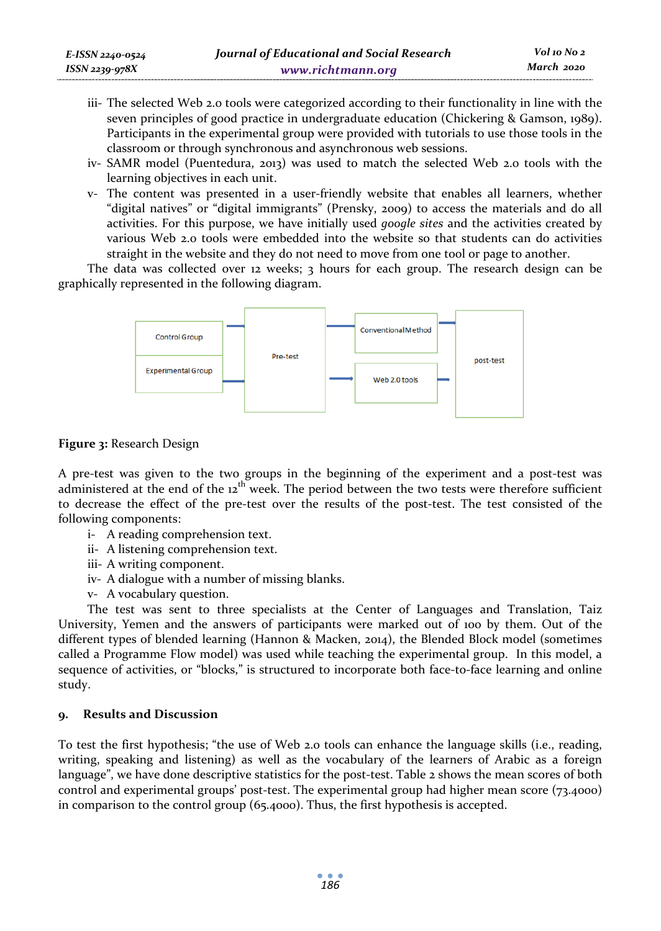- iii- The selected Web 2.0 tools were categorized according to their functionality in line with the seven principles of good practice in undergraduate education (Chickering & Gamson, 1989). Participants in the experimental group were provided with tutorials to use those tools in the classroom or through synchronous and asynchronous web sessions.
- iv- SAMR model (Puentedura, 2013) was used to match the selected Web 2.0 tools with the learning objectives in each unit.
- v- The content was presented in a user-friendly website that enables all learners, whether "digital natives" or "digital immigrants" (Prensky, 2009) to access the materials and do all activities. For this purpose, we have initially used *google sites* and the activities created by various Web 2.0 tools were embedded into the website so that students can do activities straight in the website and they do not need to move from one tool or page to another.

The data was collected over 12 weeks;  $3$  hours for each group. The research design can be graphically represented in the following diagram.



# **Figure 3:** Research Design

A pre-test was given to the two groups in the beginning of the experiment and a post-test was administered at the end of the 12<sup>th</sup> week. The period between the two tests were therefore sufficient to decrease the effect of the pre-test over the results of the post-test. The test consisted of the following components:

- i- A reading comprehension text.
- ii- A listening comprehension text.
- iii- A writing component.
- iv- A dialogue with a number of missing blanks.
- v- A vocabulary question.

The test was sent to three specialists at the Center of Languages and Translation, Taiz University, Yemen and the answers of participants were marked out of 100 by them. Out of the different types of blended learning (Hannon & Macken, 2014), the Blended Block model (sometimes called a Programme Flow model) was used while teaching the experimental group. In this model, a sequence of activities, or "blocks," is structured to incorporate both face-to-face learning and online study.

# **9. Results and Discussion**

To test the first hypothesis; "the use of Web 2.0 tools can enhance the language skills (i.e., reading, writing, speaking and listening) as well as the vocabulary of the learners of Arabic as a foreign language", we have done descriptive statistics for the post-test. Table 2 shows the mean scores of both control and experimental groups' post-test. The experimental group had higher mean score (73.4000) in comparison to the control group (65.4000). Thus, the first hypothesis is accepted.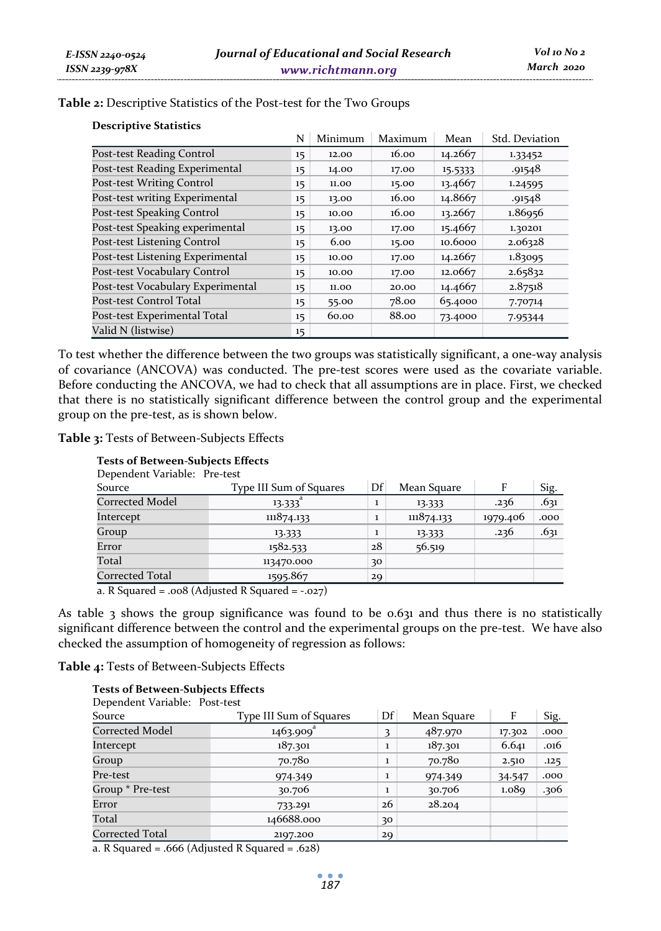| Table 2: Descriptive Statistics of the Post-test for the Two Groups |  |  |  |  |  |  |
|---------------------------------------------------------------------|--|--|--|--|--|--|
|---------------------------------------------------------------------|--|--|--|--|--|--|

| <b>Descriptive Statistics</b>     |         |         |         |         |                |
|-----------------------------------|---------|---------|---------|---------|----------------|
|                                   | N       | Minimum | Maximum | Mean    | Std. Deviation |
| Post-test Reading Control         | $15 \,$ | 12.00   | 16.00   | 14.2667 | 1.33452        |
| Post-test Reading Experimental    | 15      | 14.00   | 17.00   | 15.5333 | .91548         |
| <b>Post-test Writing Control</b>  | 15      | 11.00   | 15.00   | 13.4667 | 1.24595        |
| Post-test writing Experimental    | 15      | 13.00   | 16.00   | 14.8667 | .91548         |
| Post-test Speaking Control        | 15      | 10.00   | 16.00   | 13.2667 | 1.86956        |
| Post-test Speaking experimental   | 15      | 13.00   | 17.00   | 15.4667 | 1.30201        |
| Post-test Listening Control       | 15      | 6.00    | 15.00   | 10.6000 | 2.06328        |
| Post-test Listening Experimental  | 15      | 10.00   | 17.00   | 14.2667 | 1.83095        |
| Post-test Vocabulary Control      | 15      | 10.00   | 17.00   | 12.0667 | 2.65832        |
| Post-test Vocabulary Experimental | 15      | 11.00   | 20.00   | 14.4667 | 2.87518        |
| Post-test Control Total           | 15      | 55.00   | 78.00   | 65.4000 | 7.70714        |
| Post-test Experimental Total      | 15      | 60.00   | 88.00   | 73.4000 | 7.95344        |
| Valid N (listwise)                | 15      |         |         |         |                |

**Table 2:** Descriptive Statistics of the Post-test for the Two Groups

To test whether the difference between the two groups was statistically significant, a one-way analysis of covariance (ANCOVA) was conducted. The pre-test scores were used as the covariate variable. Before conducting the ANCOVA, we had to check that all assumptions are in place. First, we checked that there is no statistically significant difference between the control group and the experimental group on the pre-test, as is shown below.

**Table 3:** Tests of Between-Subjects Effects

| <b>Tests of Between-Subjects Effects</b> |                         |              |             |          |      |
|------------------------------------------|-------------------------|--------------|-------------|----------|------|
| Dependent Variable: Pre-test             |                         |              |             |          |      |
| Source                                   | Type III Sum of Squares | Df           | Mean Square | F        | Sig. |
| <b>Corrected Model</b>                   | $13.333$ <sup>a</sup>   | $\mathbf{1}$ | 13.333      | .236     | .631 |
| Intercept                                | 111874.133              |              | 111874.133  | 1979.406 | .000 |
| Group                                    | 13.333                  |              | 13.333      | .236     | .631 |
| Error                                    | 1582.533                | 28           | 56.519      |          |      |
| Total                                    | 113470.000              | 30           |             |          |      |
| Corrected Total                          | 1595.867                | 29           |             |          |      |

a. R Squared = .008 (Adjusted R Squared =  $-.027$ )

As table  $3$  shows the group significance was found to be 0.6 $31$  and thus there is no statistically significant difference between the control and the experimental groups on the pre-test. We have also checked the assumption of homogeneity of regression as follows:

**Table 4:** Tests of Between-Subjects Effects

#### **Tests of Between-Subjects Effects**

| Dependent Variable: Post-test |                         |                         |             |        |      |
|-------------------------------|-------------------------|-------------------------|-------------|--------|------|
| Source                        | Type III Sum of Squares | Df                      | Mean Square | F      | Sig. |
| Corrected Model               | $1463.909$ <sup>a</sup> | $\overline{\mathbf{3}}$ | 487.970     | 17.302 | .000 |
| Intercept                     | 187.301                 | $\mathbf{1}$            | 187.301     | 6.641  | .016 |
| Group                         | 70.780                  | $\mathbf{1}$            | 70.780      | 2.510  | .125 |
| Pre-test                      | 974.349                 | $\mathbf{1}$            | 974.349     | 34.547 | .000 |
| Group * Pre-test              | 30.706                  | $\mathbf{1}$            | 30.706      | 1.089  | .306 |
| Error                         | 733.291                 | 26                      | 28.204      |        |      |
| Total                         | 146688.000              | 30                      |             |        |      |
| Corrected Total               | 2197.200                | 29                      |             |        |      |

a. R Squared = .666 (Adjusted R Squared = .628)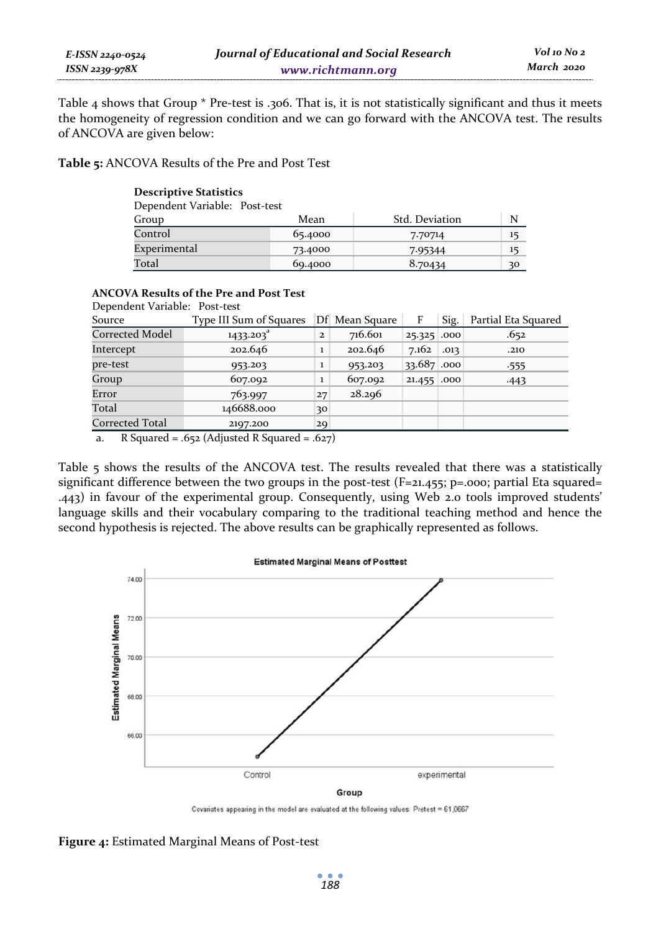| E-ISSN 2240-0524    | Journal of Educational and Social Research |
|---------------------|--------------------------------------------|
| $ISSN$ 2239-978 $X$ | www.richtmann.org                          |

 *Vol 10 No 2 March 2020*

Table 4 shows that Group \* Pre-test is .306. That is, it is not statistically significant and thus it meets the homogeneity of regression condition and we can go forward with the ANCOVA test. The results of ANCOVA are given below:

**Table 5:** ANCOVA Results of the Pre and Post Test

| <b>Descriptive Statistics</b> |         |                |    |  |  |  |  |
|-------------------------------|---------|----------------|----|--|--|--|--|
| Dependent Variable: Post-test |         |                |    |  |  |  |  |
| Group                         | Mean    | Std. Deviation | N  |  |  |  |  |
| Control                       | 65.4000 | 7.70714        | 15 |  |  |  |  |
| Experimental                  | 73.4000 | 7.95344        | 15 |  |  |  |  |
| Total                         | 69.4000 | 8.70434        | 30 |  |  |  |  |

| <b>ANCOVA Results of the Pre and Post Test</b><br>Dependent Variable: Post-test |                         |                      |                |                    |      |                     |  |  |
|---------------------------------------------------------------------------------|-------------------------|----------------------|----------------|--------------------|------|---------------------|--|--|
| Source                                                                          | Type III Sum of Squares |                      | Df Mean Square | F                  | Sig. | Partial Eta Squared |  |  |
| Corrected Model                                                                 | 1433.203 <sup>ª</sup>   | $\mathbf{2}$         | 716.601        | 25.325 .000        |      | .652                |  |  |
| Intercept                                                                       | 202.646                 | $\mathbf{1}$         | 202.646        | $7.162 \cdot .013$ |      | .210                |  |  |
| pre-test                                                                        | 953.203                 | $\mathbf{1}$         | 953.203        | 33.687 .000        |      | .555                |  |  |
| Group                                                                           | 607.092                 | $\mathbf{1}$         | 607.092        | 21.455 .000        |      | $-443$              |  |  |
| Error                                                                           | 763.997                 | 27                   | 28.296         |                    |      |                     |  |  |
| Total                                                                           | 146688.000              | 30                   |                |                    |      |                     |  |  |
| Corrected Total                                                                 | 2197.200                | 29                   |                |                    |      |                     |  |  |
| $\sim$ $\sim$ $\sim$<br>$\mathbf{r}$                                            | $\sqrt{11}$ $\sqrt{12}$ | $\sim$ $\sim$ $\sim$ |                |                    |      |                     |  |  |

a. R Squared = .652 (Adjusted R Squared = .627)

Table 5 shows the results of the ANCOVA test. The results revealed that there was a statistically significant difference between the two groups in the post-test  $(F=21.455; p=0.005;$  partial Eta squared= .443) in favour of the experimental group. Consequently, using Web 2.0 tools improved students' language skills and their vocabulary comparing to the traditional teaching method and hence the second hypothesis is rejected. The above results can be graphically represented as follows.



Covariates appearing in the model are evaluated at the following values:  $Pretest = 61,0667$ 

**Figure 4:** Estimated Marginal Means of Post-test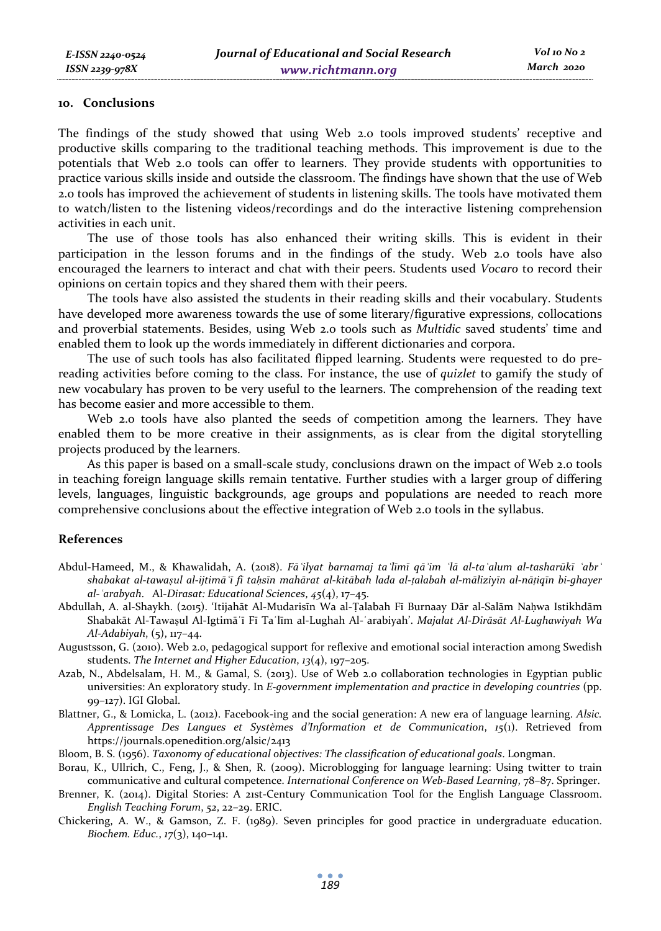#### **10. Conclusions**

The findings of the study showed that using Web 2.0 tools improved students' receptive and productive skills comparing to the traditional teaching methods. This improvement is due to the potentials that Web 2.0 tools can offer to learners. They provide students with opportunities to practice various skills inside and outside the classroom. The findings have shown that the use of Web 2.0 tools has improved the achievement of students in listening skills. The tools have motivated them to watch/listen to the listening videos/recordings and do the interactive listening comprehension activities in each unit.

The use of those tools has also enhanced their writing skills. This is evident in their participation in the lesson forums and in the findings of the study. Web 2.0 tools have also encouraged the learners to interact and chat with their peers. Students used *Vocaro* to record their opinions on certain topics and they shared them with their peers.

The tools have also assisted the students in their reading skills and their vocabulary. Students have developed more awareness towards the use of some literary/figurative expressions, collocations and proverbial statements. Besides, using Web 2.0 tools such as *Multidic* saved students' time and enabled them to look up the words immediately in different dictionaries and corpora.

The use of such tools has also facilitated flipped learning. Students were requested to do prereading activities before coming to the class. For instance, the use of *quizlet* to gamify the study of new vocabulary has proven to be very useful to the learners. The comprehension of the reading text has become easier and more accessible to them.

Web 2.0 tools have also planted the seeds of competition among the learners. They have enabled them to be more creative in their assignments, as is clear from the digital storytelling projects produced by the learners.

As this paper is based on a small-scale study, conclusions drawn on the impact of Web 2.0 tools in teaching foreign language skills remain tentative. Further studies with a larger group of differing levels, languages, linguistic backgrounds, age groups and populations are needed to reach more comprehensive conclusions about the effective integration of Web 2.0 tools in the syllabus.

#### **References**

- Abdul-Hameed, M., & Khawalidah, A. (2018). Fā ilyat barnamaj ta līmī qā im 'lā al-ta alum al-tasharūkī 'abr' shabakat al-tawaşul al-ijtimā ī fi tahsīn mahārat al-kitābah lada al-talabah al-māliziyīn al-nāṭiqīn bi-qhayer *al-ʿarabyah*. Al-*Dirasat: Educational Sciences*, *45*(4), 17–45.
- Abdullah, A. al-Shaykh. (2015). 'Itijahāt Al-Mudarisīn Wa al-Ṭalabah Fī Burnaay Dār al-Salām Naḥwa Istikhdām Shabakāt Al-Tawaṣul Al-Igtimāʿī Fī Taʿlīm al-Lughah Al-ʿarabiyah'. *Majalat Al-Dirāsāt Al-Lughawiyah Wa Al-Adabiyah*, (5), 117–44.
- Augustsson, G. (2010). Web 2.0, pedagogical support for reflexive and emotional social interaction among Swedish students. *The Internet and Higher Education*, *13*(4), 197–205.
- Azab, N., Abdelsalam, H. M., & Gamal, S. (2013). Use of Web 2.0 collaboration technologies in Egyptian public universities: An exploratory study. In *E-government implementation and practice in developing countries* (pp. 99–127). IGI Global.
- Blattner, G., & Lomicka, L. (2012). Facebook-ing and the social generation: A new era of language learning. *Alsic. Apprentissage Des Langues et Systèmes d'Information et de Communication*, *15*(1). Retrieved from https://journals.openedition.org/alsic/2413
- Bloom, B. S. (1956). *Taxonomy of educational objectives: The classification of educational goals*. Longman.
- Borau, K., Ullrich, C., Feng, J., & Shen, R. (2009). Microblogging for language learning: Using twitter to train communicative and cultural competence. *International Conference on Web-Based Learning*, 78–87. Springer.
- Brenner, K. (2014). Digital Stories: A 21st-Century Communication Tool for the English Language Classroom. *English Teaching Forum*, *52*, 22–29. ERIC.
- Chickering, A. W., & Gamson, Z. F. (1989). Seven principles for good practice in undergraduate education. *Biochem. Educ.*, *17*(3), 140–141.